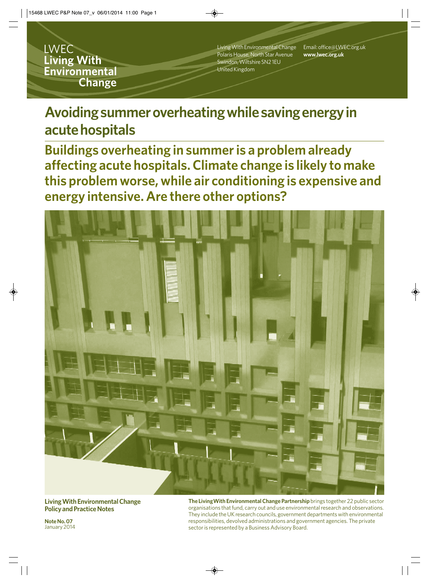**LWEC Living With** Environmental **Change** 

Living With Environmental Change Polaris House, North Star Avenue Swindon, Wiltshire SN2 1EU United Kingdom

Email: office@LWEC.org.uk **www.lwec.org.uk**

# **Avoiding summer overheating while saving energy in acute hospitals**

**Buildings overheating in summer is a problem already affecting acute hospitals. Climate change is likely to make this problem worse, while air conditioning is expensive and energy intensive. Are there other options?**



**Living With Environmental Change Policy and Practice Notes**

**The LivingWith Environmental Change Partnership** brings together 22 public sector organisations that fund, carry out and use environmental research and observations. They include the UK research councils, government departments with environmental responsibilities, devolved administrations and government agencies. The private sector is represented by a Business Advisory Board.

**Note No. 07**  January 2014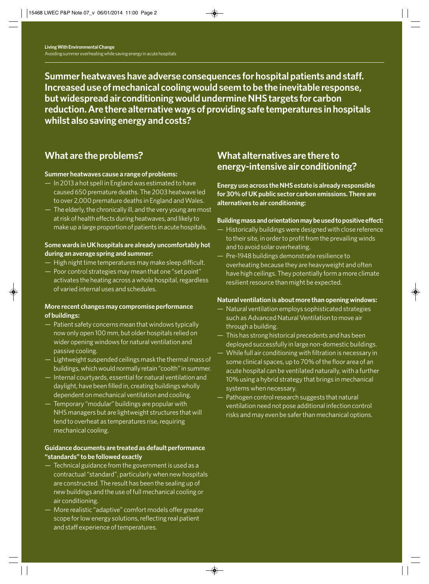**Summer heatwaves have adverse consequences for hospital patients and staff. Increased use of mechanical cooling would seem to be the inevitable response, but widespread air conditioning would undermine NHS targets for carbon reduction. Are there alternative ways of providing safe temperatures in hospitals whilst also saving energy and costs?** 

# **What are the problems?**

#### **Summer heatwaves cause a range of problems:**

- In 2013 a hot spell in England was estimated to have caused 650 premature deaths. The 2003 heatwave led to over 2,000 premature deaths in England and Wales.
- The elderly, the chronically ill, and the very young are most at risk of health effects during heatwaves, and likely to make up a large proportion of patients in acute hospitals.

#### **Some wards in UK hospitals are already uncomfortably hot during an average spring and summer:**

- High night time temperatures may make sleep difficult.
- Poor control strategies may mean that one "set point" activates the heating across a whole hospital, regardless of varied internal uses and schedules.

#### **More recent changes may compromise performance of buildings:**

- Patient safety concerns mean that windows typically now only open 100 mm, but older hospitals relied on wider opening windows for natural ventilation and passive cooling.
- Lightweight suspended ceilings mask the thermal mass of buildings, which would normally retain "coolth" in summer.
- Internal courtyards, essential for natural ventilation and daylight, have been filled in, creating buildings wholly dependent on mechanical ventilation and cooling.
- Temporary "modular" buildings are popular with NHS managers but are lightweight structures that will tend to overheat as temperatures rise, requiring mechanical cooling.

#### **Guidance documents are treated as default performance "standards" to be followed exactly**

- Technical guidance from the government is used as a contractual "standard", particularly when new hospitals are constructed. The result has been the sealing up of new buildings and the use of full mechanical cooling or air conditioning.
- More realistic "adaptive" comfort models offer greater scope for low energy solutions, reflecting real patient and staff experience of temperatures.

### **What alternatives are there to energy-intensive air conditioning?**

**Energy use across the NHS estate is already responsible for 30% of UK public sector carbon emissions. There are alternatives to air conditioning:**

#### **Building mass and orientation may be used to positive effect:**

- Historically buildings were designed with close reference to their site, in order to profit from the prevailing winds and to avoid solar overheating.
- Pre-1948 buildings demonstrate resilience to overheating because they are heavyweight and often have high ceilings. They potentially form a more climate resilient resource than might be expected.

#### **Natural ventilation is about more than opening windows:**

- Natural ventilation employs sophisticated strategies such as Advanced Natural Ventilation to move air through a building.
- This has strong historical precedents and has been deployed successfully in large non-domestic buildings.
- While full air conditioning with filtration is necessary in some clinical spaces, up to 70% of the floor area of an acute hospital can be ventilated naturally, with a further 10% using a hybrid strategy that brings in mechanical systems when necessary.
- Pathogen control research suggests that natural ventilation need not pose additional infection control risks and may even be safer than mechanical options.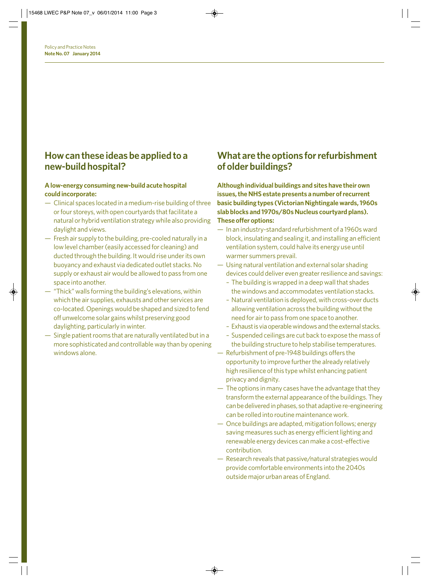### **How can these ideas be applied to a new-build hospital?**

#### **A low-energy consuming new-build acute hospital could incorporate:**

- Clinical spaces located in a medium-rise building of three or four storeys, with open courtyards that facilitate a natural or hybrid ventilation strategy while also providing daylight and views.
- Fresh air supply to the building, pre-cooled naturally in a low level chamber (easily accessed for cleaning) and ducted through the building. It would rise under its own buoyancy and exhaust via dedicated outlet stacks. No supply or exhaust air would be allowed to pass from one space into another.
- "Thick" walls forming the building's elevations, within which the air supplies, exhausts and other services are co-located. Openings would be shaped and sized to fend off unwelcome solar gains whilst preserving good daylighting, particularly in winter.
- Single patient rooms that are naturally ventilated but in a more sophisticated and controllable way than by opening windows alone.

### **What are the options for refurbishment of older buildings?**

**Although individual buildings and sites have their own issues, the NHS estate presents a number of recurrent basic building types (Victorian Nightingale wards, 1960s slab blocks and 1970s/80s Nucleus courtyard plans). These offer options:**

- In an industry-standard refurbishment of a 1960s ward block, insulating and sealing it, and installing an efficient ventilation system, could halve its energy use until warmer summers prevail.
- Using natural ventilation and external solar shading devices could deliver even greater resilience and savings:
	- The building is wrapped in a deep wall that shades the windows and accommodates ventilation stacks.
	- Natural ventilation is deployed, with cross-over ducts allowing ventilation across the building without the need for air to pass from one space to another.
	- Exhaust is via operable windows and the external stacks.
	- Suspended ceilings are cut back to expose the mass of the building structure to help stabilise temperatures.
- Refurbishment of pre-1948 buildings offers the opportunity to improve further the already relatively high resilience of this type whilst enhancing patient privacy and dignity.
- The options in many cases have the advantage that they transform the external appearance of the buildings. They can be delivered in phases, so that adaptive re-engineering can be rolled into routine maintenance work.
- Once buildings are adapted, mitigation follows; energy saving measures such as energy efficient lighting and renewable energy devices can make a cost-effective contribution.
- Research reveals that passive/natural strategies would provide comfortable environments into the 2040s outside major urban areas of England.